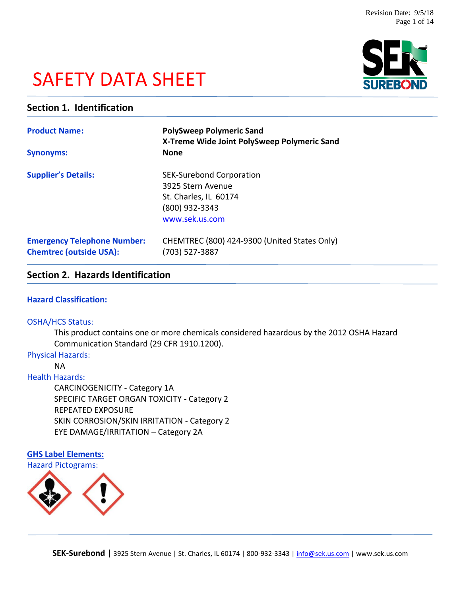# SAFETY DATA SHEET



# **Section 1. Identification**

| <b>Product Name:</b><br><b>Synonyms:</b>                             | <b>PolySweep Polymeric Sand</b><br>X-Treme Wide Joint PolySweep Polymeric Sand<br><b>None</b>                     |  |
|----------------------------------------------------------------------|-------------------------------------------------------------------------------------------------------------------|--|
| <b>Supplier's Details:</b>                                           | <b>SEK-Surebond Corporation</b><br>3925 Stern Avenue<br>St. Charles, IL 60174<br>(800) 932-3343<br>www.sek.us.com |  |
| <b>Emergency Telephone Number:</b><br><b>Chemtrec (outside USA):</b> | CHEMTREC (800) 424-9300 (United States Only)<br>(703) 527-3887                                                    |  |

# **Section 2. Hazards Identification**

# **Hazard Classification:**

#### OSHA/HCS Status:

This product contains one or more chemicals considered hazardous by the 2012 OSHA Hazard Communication Standard (29 CFR 1910.1200).

# Physical Hazards:

NA

# Health Hazards:

CARCINOGENICITY - Category 1A SPECIFIC TARGET ORGAN TOXICITY - Category 2 REPEATED EXPOSURE SKIN CORROSION/SKIN IRRITATION - Category 2 EYE DAMAGE/IRRITATION – Category 2A

# **GHS Label Elements:** Hazard Pictograms:

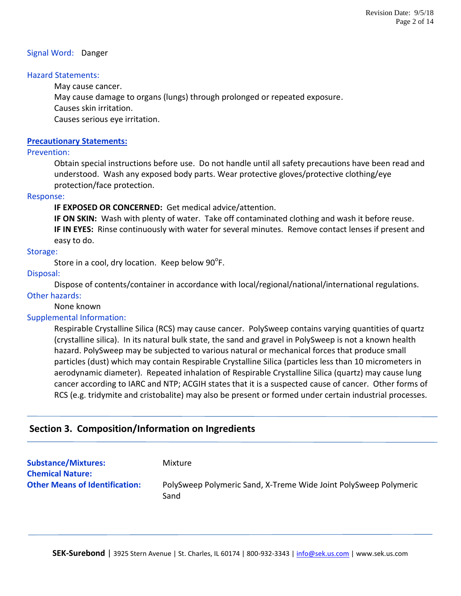## Signal Word: Danger

## Hazard Statements:

May cause cancer.

May cause damage to organs (lungs) through prolonged or repeated exposure.

Causes skin irritation.

Causes serious eye irritation.

## **Precautionary Statements:**

## Prevention:

Obtain special instructions before use. Do not handle until all safety precautions have been read and understood. Wash any exposed body parts. Wear protective gloves/protective clothing/eye protection/face protection.

#### Response:

**IF EXPOSED OR CONCERNED:** Get medical advice/attention.

**IF ON SKIN:** Wash with plenty of water. Take off contaminated clothing and wash it before reuse. **IF IN EYES:** Rinse continuously with water for several minutes. Remove contact lenses if present and easy to do.

# Storage:

Store in a cool, dry location. Keep below 90 $\mathrm{^oF}.$ 

# Disposal:

Dispose of contents/container in accordance with local/regional/national/international regulations.

## Other hazards:

None known

# Supplemental Information:

Respirable Crystalline Silica (RCS) may cause cancer. PolySweep contains varying quantities of quartz (crystalline silica). In its natural bulk state, the sand and gravel in PolySweep is not a known health hazard. PolySweep may be subjected to various natural or mechanical forces that produce small particles (dust) which may contain Respirable Crystalline Silica (particles less than 10 micrometers in aerodynamic diameter). Repeated inhalation of Respirable Crystalline Silica (quartz) may cause lung cancer according to IARC and NTP; ACGIH states that it is a suspected cause of cancer. Other forms of RCS (e.g. tridymite and cristobalite) may also be present or formed under certain industrial processes.

# **Section 3. Composition/Information on Ingredients**

| <b>Substance/Mixtures:</b><br><b>Chemical Nature:</b> | Mixture                                                                  |
|-------------------------------------------------------|--------------------------------------------------------------------------|
| <b>Other Means of Identification:</b>                 | PolySweep Polymeric Sand, X-Treme Wide Joint PolySweep Polymeric<br>Sand |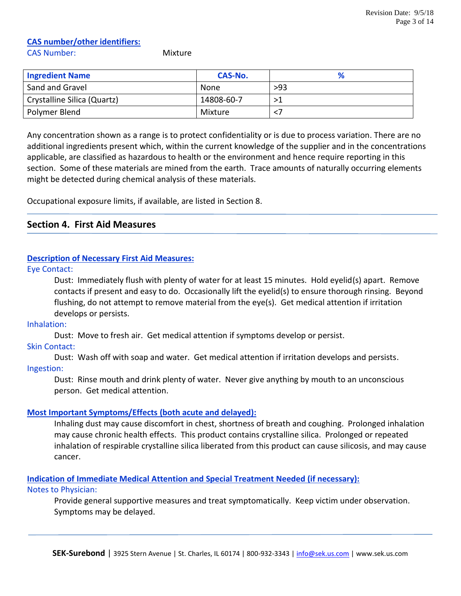# **CAS number/other identifiers:**

CAS Number: Mixture

| <b>Ingredient Name</b>      | CAS-No.    |     |
|-----------------------------|------------|-----|
| Sand and Gravel             | None       | >93 |
| Crystalline Silica (Quartz) | 14808-60-7 |     |
| Polymer Blend               | Mixture    |     |

Any concentration shown as a range is to protect confidentiality or is due to process variation. There are no additional ingredients present which, within the current knowledge of the supplier and in the concentrations applicable, are classified as hazardous to health or the environment and hence require reporting in this section. Some of these materials are mined from the earth. Trace amounts of naturally occurring elements might be detected during chemical analysis of these materials.

Occupational exposure limits, if available, are listed in Section 8.

# **Section 4. First Aid Measures**

# **Description of Necessary First Aid Measures:**

Eye Contact:

Dust: Immediately flush with plenty of water for at least 15 minutes. Hold eyelid(s) apart. Remove contacts if present and easy to do. Occasionally lift the eyelid(s) to ensure thorough rinsing. Beyond flushing, do not attempt to remove material from the eye(s). Get medical attention if irritation develops or persists.

Inhalation:

Dust: Move to fresh air. Get medical attention if symptoms develop or persist.

Skin Contact:

Dust: Wash off with soap and water. Get medical attention if irritation develops and persists. Ingestion:

Dust: Rinse mouth and drink plenty of water. Never give anything by mouth to an unconscious person. Get medical attention.

# **Most Important Symptoms/Effects (both acute and delayed):**

Inhaling dust may cause discomfort in chest, shortness of breath and coughing. Prolonged inhalation may cause chronic health effects. This product contains crystalline silica. Prolonged or repeated inhalation of respirable crystalline silica liberated from this product can cause silicosis, and may cause cancer.

**Indication of Immediate Medical Attention and Special Treatment Needed (if necessary):**

# Notes to Physician:

Provide general supportive measures and treat symptomatically. Keep victim under observation. Symptoms may be delayed.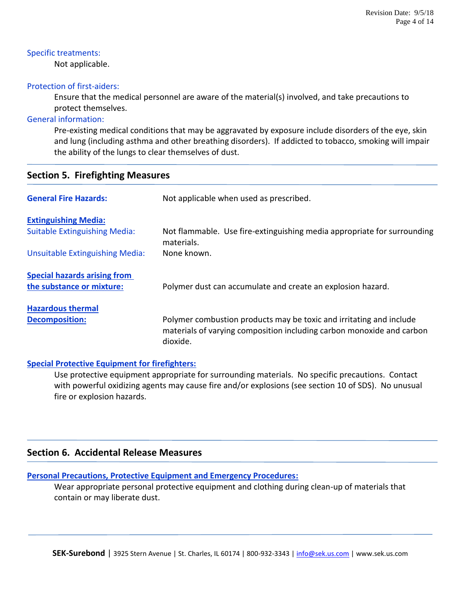# Specific treatments:

Not applicable.

# Protection of first-aiders:

Ensure that the medical personnel are aware of the material(s) involved, and take precautions to protect themselves.

# General information:

Pre-existing medical conditions that may be aggravated by exposure include disorders of the eye, skin and lung (including asthma and other breathing disorders). If addicted to tobacco, smoking will impair the ability of the lungs to clear themselves of dust.

|  | <b>Section 5. Firefighting Measures</b> |  |
|--|-----------------------------------------|--|
|--|-----------------------------------------|--|

| <b>General Fire Hazards:</b>         | Not applicable when used as prescribed.                                                                                                                  |  |  |  |  |
|--------------------------------------|----------------------------------------------------------------------------------------------------------------------------------------------------------|--|--|--|--|
| <b>Extinguishing Media:</b>          |                                                                                                                                                          |  |  |  |  |
| <b>Suitable Extinguishing Media:</b> | Not flammable. Use fire-extinguishing media appropriate for surrounding<br>materials.                                                                    |  |  |  |  |
| Unsuitable Extinguishing Media:      | None known.                                                                                                                                              |  |  |  |  |
| <b>Special hazards arising from</b>  |                                                                                                                                                          |  |  |  |  |
| the substance or mixture:            | Polymer dust can accumulate and create an explosion hazard.                                                                                              |  |  |  |  |
| <b>Hazardous thermal</b>             |                                                                                                                                                          |  |  |  |  |
| <b>Decomposition:</b>                | Polymer combustion products may be toxic and irritating and include<br>materials of varying composition including carbon monoxide and carbon<br>dioxide. |  |  |  |  |

# **Special Protective Equipment for firefighters:**

Use protective equipment appropriate for surrounding materials. No specific precautions. Contact with powerful oxidizing agents may cause fire and/or explosions (see section 10 of SDS). No unusual fire or explosion hazards.

# **Section 6. Accidental Release Measures**

# **Personal Precautions, Protective Equipment and Emergency Procedures:**

Wear appropriate personal protective equipment and clothing during clean-up of materials that contain or may liberate dust.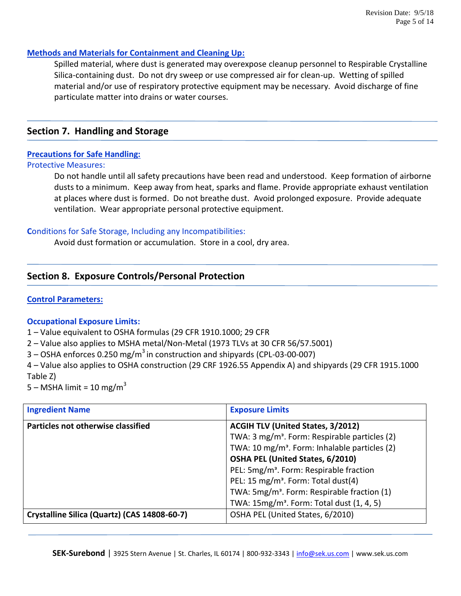# **Methods and Materials for Containment and Cleaning Up:**

Spilled material, where dust is generated may overexpose cleanup personnel to Respirable Crystalline Silica-containing dust. Do not dry sweep or use compressed air for clean-up. Wetting of spilled material and/or use of respiratory protective equipment may be necessary. Avoid discharge of fine particulate matter into drains or water courses.

# **Section 7. Handling and Storage**

# **Precautions for Safe Handling:**

## Protective Measures:

Do not handle until all safety precautions have been read and understood. Keep formation of airborne dusts to a minimum. Keep away from heat, sparks and flame. Provide appropriate exhaust ventilation at places where dust is formed. Do not breathe dust. Avoid prolonged exposure. Provide adequate ventilation. Wear appropriate personal protective equipment.

# **C**onditions for Safe Storage, Including any Incompatibilities:

Avoid dust formation or accumulation. Store in a cool, dry area.

# **Section 8. Exposure Controls/Personal Protection**

# **Control Parameters:**

# **Occupational Exposure Limits:**

- 1 Value equivalent to OSHA formulas (29 CFR 1910.1000; 29 CFR
- 2 Value also applies to MSHA metal/Non-Metal (1973 TLVs at 30 CFR 56/57.5001)
- $3$  OSHA enforces 0.250 mg/m<sup>3</sup> in construction and shipyards (CPL-03-00-007)

4 – Value also applies to OSHA construction (29 CRF 1926.55 Appendix A) and shipyards (29 CFR 1915.1000 Table Z)

5 – MSHA limit = 10 mg/m<sup>3</sup>

| <b>Ingredient Name</b>                       | <b>Exposure Limits</b>                                    |  |
|----------------------------------------------|-----------------------------------------------------------|--|
| Particles not otherwise classified           | <b>ACGIH TLV (United States, 3/2012)</b>                  |  |
|                                              | TWA: 3 mg/m <sup>3</sup> . Form: Respirable particles (2) |  |
|                                              | TWA: 10 mg/m <sup>3</sup> . Form: Inhalable particles (2) |  |
|                                              | OSHA PEL (United States, 6/2010)                          |  |
|                                              | PEL: 5mg/m <sup>3</sup> . Form: Respirable fraction       |  |
|                                              | PEL: 15 mg/m <sup>3</sup> . Form: Total dust(4)           |  |
|                                              | TWA: 5mg/m <sup>3</sup> . Form: Respirable fraction (1)   |  |
|                                              | TWA: 15mg/m <sup>3</sup> . Form: Total dust (1, 4, 5)     |  |
| Crystalline Silica (Quartz) (CAS 14808-60-7) | OSHA PEL (United States, 6/2010)                          |  |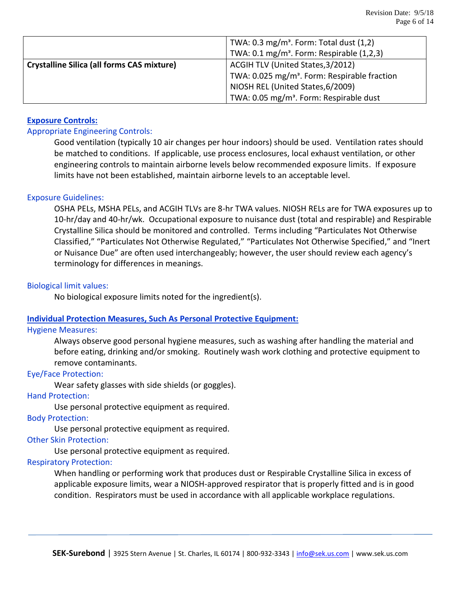|                                                   | TWA: $0.3 \text{ mg/m}^3$ . Form: Total dust $(1,2)$     |  |  |
|---------------------------------------------------|----------------------------------------------------------|--|--|
|                                                   | TWA: 0.1 mg/m <sup>3</sup> . Form: Respirable (1,2,3)    |  |  |
| <b>Crystalline Silica (all forms CAS mixture)</b> | ACGIH TLV (United States, 3/2012)                        |  |  |
|                                                   | TWA: 0.025 mg/m <sup>3</sup> . Form: Respirable fraction |  |  |
|                                                   | NIOSH REL (United States, 6/2009)                        |  |  |
|                                                   | TWA: 0.05 mg/m <sup>3</sup> . Form: Respirable dust      |  |  |

# **Exposure Controls:**

# Appropriate Engineering Controls:

Good ventilation (typically 10 air changes per hour indoors) should be used. Ventilation rates should be matched to conditions. If applicable, use process enclosures, local exhaust ventilation, or other engineering controls to maintain airborne levels below recommended exposure limits. If exposure limits have not been established, maintain airborne levels to an acceptable level.

## Exposure Guidelines:

OSHA PELs, MSHA PELs, and ACGIH TLVs are 8-hr TWA values. NIOSH RELs are for TWA exposures up to 10-hr/day and 40-hr/wk. Occupational exposure to nuisance dust (total and respirable) and Respirable Crystalline Silica should be monitored and controlled. Terms including "Particulates Not Otherwise Classified," "Particulates Not Otherwise Regulated," "Particulates Not Otherwise Specified," and "Inert or Nuisance Due" are often used interchangeably; however, the user should review each agency's terminology for differences in meanings.

## Biological limit values:

No biological exposure limits noted for the ingredient(s).

# **Individual Protection Measures, Such As Personal Protective Equipment:**

#### Hygiene Measures:

Always observe good personal hygiene measures, such as washing after handling the material and before eating, drinking and/or smoking. Routinely wash work clothing and protective equipment to remove contaminants.

#### Eye/Face Protection:

Wear safety glasses with side shields (or goggles).

# Hand Protection:

Use personal protective equipment as required.

#### Body Protection:

Use personal protective equipment as required.

#### Other Skin Protection:

Use personal protective equipment as required.

#### Respiratory Protection:

When handling or performing work that produces dust or Respirable Crystalline Silica in excess of applicable exposure limits, wear a NIOSH-approved respirator that is properly fitted and is in good condition. Respirators must be used in accordance with all applicable workplace regulations.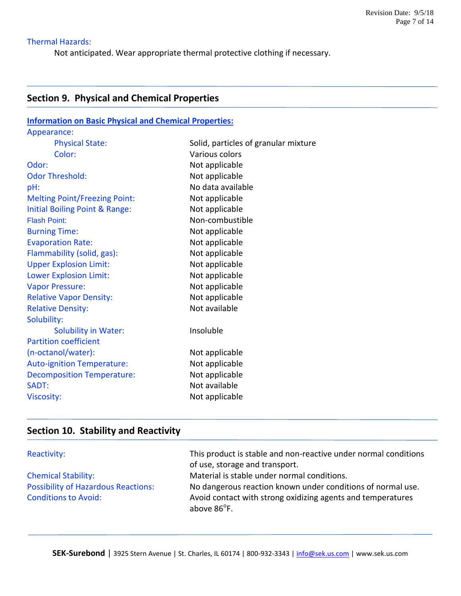# Thermal Hazards:

Not anticipated. Wear appropriate thermal protective clothing if necessary.

# **Section 9. Physical and Chemical Properties**

| <b>Information on Basic Physical and Chemical Properties:</b> |                                      |  |  |
|---------------------------------------------------------------|--------------------------------------|--|--|
| Appearance:                                                   |                                      |  |  |
| <b>Physical State:</b>                                        | Solid, particles of granular mixture |  |  |
| Color:                                                        | Various colors                       |  |  |
| Odor:                                                         | Not applicable                       |  |  |
| <b>Odor Threshold:</b>                                        | Not applicable                       |  |  |
| pH:                                                           | No data available                    |  |  |
| <b>Melting Point/Freezing Point:</b>                          | Not applicable                       |  |  |
| Initial Boiling Point & Range:                                | Not applicable                       |  |  |
| <b>Flash Point:</b>                                           | Non-combustible                      |  |  |
| <b>Burning Time:</b>                                          | Not applicable                       |  |  |
| <b>Evaporation Rate:</b>                                      | Not applicable                       |  |  |
| Flammability (solid, gas):                                    | Not applicable                       |  |  |
| <b>Upper Explosion Limit:</b>                                 | Not applicable                       |  |  |
| <b>Lower Explosion Limit:</b>                                 | Not applicable                       |  |  |
| <b>Vapor Pressure:</b>                                        | Not applicable                       |  |  |
| <b>Relative Vapor Density:</b>                                | Not applicable                       |  |  |
| <b>Relative Density:</b>                                      | Not available                        |  |  |
| Solubility:                                                   |                                      |  |  |
| <b>Solubility in Water:</b>                                   | Insoluble                            |  |  |
| <b>Partition coefficient</b>                                  |                                      |  |  |
| (n-octanol/water):                                            | Not applicable                       |  |  |
| <b>Auto-ignition Temperature:</b>                             | Not applicable                       |  |  |
| <b>Decomposition Temperature:</b>                             | Not applicable                       |  |  |
| SADT:                                                         | Not available                        |  |  |
| <b>Viscosity:</b>                                             | Not applicable                       |  |  |

# **Section 10. Stability and Reactivity**

| Reactivity:                                | This product is stable and non-reactive under normal conditions<br>of use, storage and transport. |
|--------------------------------------------|---------------------------------------------------------------------------------------------------|
| <b>Chemical Stability:</b>                 | Material is stable under normal conditions.                                                       |
| <b>Possibility of Hazardous Reactions:</b> | No dangerous reaction known under conditions of normal use.                                       |
| <b>Conditions to Avoid:</b>                | Avoid contact with strong oxidizing agents and temperatures<br>above 86 <sup>°</sup> F.           |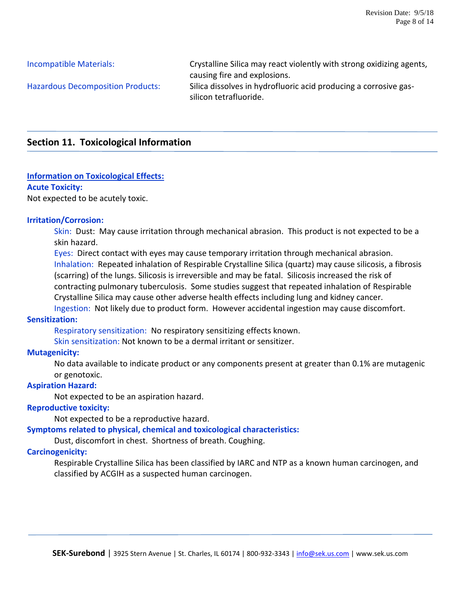Incompatible Materials: Crystalline Silica may react violently with strong oxidizing agents, causing fire and explosions. Hazardous Decomposition Products: Silica dissolves in hydrofluoric acid producing a corrosive gassilicon tetrafluoride.

# **Section 11. Toxicological Information**

# **Information on Toxicological Effects:**

## **Acute Toxicity:**

Not expected to be acutely toxic.

## **Irritation/Corrosion:**

Skin: Dust: May cause irritation through mechanical abrasion. This product is not expected to be a skin hazard.

Eyes: Direct contact with eyes may cause temporary irritation through mechanical abrasion. Inhalation: Repeated inhalation of Respirable Crystalline Silica (quartz) may cause silicosis, a fibrosis (scarring) of the lungs. Silicosis is irreversible and may be fatal. Silicosis increased the risk of contracting pulmonary tuberculosis. Some studies suggest that repeated inhalation of Respirable Crystalline Silica may cause other adverse health effects including lung and kidney cancer. Ingestion: Not likely due to product form. However accidental ingestion may cause discomfort.

# **Sensitization:**

Respiratory sensitization: No respiratory sensitizing effects known.

Skin sensitization: Not known to be a dermal irritant or sensitizer.

# **Mutagenicity:**

No data available to indicate product or any components present at greater than 0.1% are mutagenic or genotoxic.

# **Aspiration Hazard:**

Not expected to be an aspiration hazard.

# **Reproductive toxicity:**

Not expected to be a reproductive hazard.

**Symptoms related to physical, chemical and toxicological characteristics:**

Dust, discomfort in chest. Shortness of breath. Coughing.

# **Carcinogenicity:**

Respirable Crystalline Silica has been classified by IARC and NTP as a known human carcinogen, and classified by ACGIH as a suspected human carcinogen.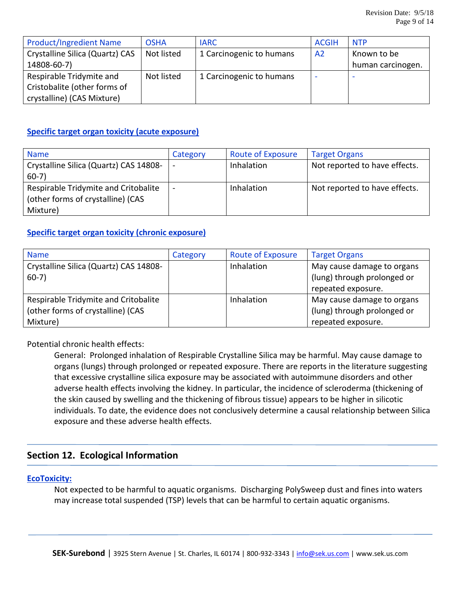| <b>Product/Ingredient Name</b>  | <b>OSHA</b> | <b>IARC</b>              | <b>ACGIH</b>   | <b>NTP</b>        |
|---------------------------------|-------------|--------------------------|----------------|-------------------|
| Crystalline Silica (Quartz) CAS | Not listed  | 1 Carcinogenic to humans | A <sub>2</sub> | Known to be       |
| 14808-60-7)                     |             |                          |                | human carcinogen. |
| Respirable Tridymite and        | Not listed  | 1 Carcinogenic to humans | -              | -                 |
| Cristobalite (other forms of    |             |                          |                |                   |
| crystalline) (CAS Mixture)      |             |                          |                |                   |

# **Specific target organ toxicity (acute exposure)**

| <b>Name</b>                            | Category                 | <b>Route of Exposure</b> | <b>Target Organs</b>          |
|----------------------------------------|--------------------------|--------------------------|-------------------------------|
| Crystalline Silica (Quartz) CAS 14808- |                          | Inhalation               | Not reported to have effects. |
| $60-7)$                                |                          |                          |                               |
| Respirable Tridymite and Critobalite   | $\overline{\phantom{a}}$ | Inhalation               | Not reported to have effects. |
| (other forms of crystalline) (CAS      |                          |                          |                               |
| Mixture)                               |                          |                          |                               |

# **Specific target organ toxicity (chronic exposure)**

| <b>Name</b>                            | Category | <b>Route of Exposure</b> | <b>Target Organs</b>        |
|----------------------------------------|----------|--------------------------|-----------------------------|
| Crystalline Silica (Quartz) CAS 14808- |          | Inhalation               | May cause damage to organs  |
| $60-7)$                                |          |                          | (lung) through prolonged or |
|                                        |          |                          | repeated exposure.          |
| Respirable Tridymite and Critobalite   |          | Inhalation               | May cause damage to organs  |
| (other forms of crystalline) (CAS      |          |                          | (lung) through prolonged or |
| Mixture)                               |          |                          | repeated exposure.          |

Potential chronic health effects:

General: Prolonged inhalation of Respirable Crystalline Silica may be harmful. May cause damage to organs (lungs) through prolonged or repeated exposure. There are reports in the literature suggesting that excessive crystalline silica exposure may be associated with autoimmune disorders and other adverse health effects involving the kidney. In particular, the incidence of scleroderma (thickening of the skin caused by swelling and the thickening of fibrous tissue) appears to be higher in silicotic individuals. To date, the evidence does not conclusively determine a causal relationship between Silica exposure and these adverse health effects.

# **Section 12. Ecological Information**

# **EcoToxicity:**

Not expected to be harmful to aquatic organisms. Discharging PolySweep dust and fines into waters may increase total suspended (TSP) levels that can be harmful to certain aquatic organisms.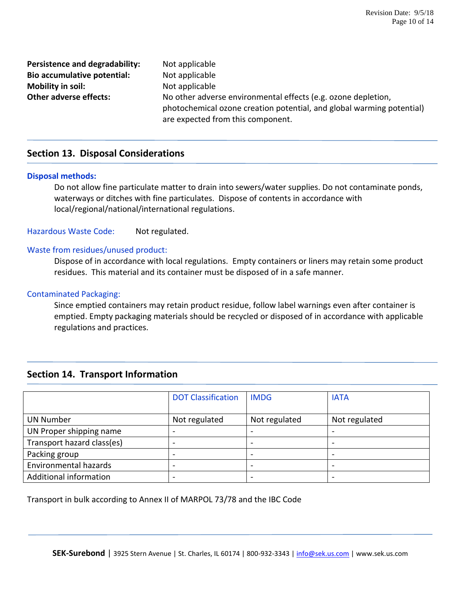**Persistence and degradability:** Not applicable **Bio accumulative potential:** Not applicable **Mobility in soil:** Not applicable

**Other adverse effects:** No other adverse environmental effects (e.g. ozone depletion, photochemical ozone creation potential, and global warming potential) are expected from this component.

# **Section 13. Disposal Considerations**

# **Disposal methods:**

Do not allow fine particulate matter to drain into sewers/water supplies. Do not contaminate ponds, waterways or ditches with fine particulates. Dispose of contents in accordance with local/regional/national/international regulations.

Hazardous Waste Code: Not regulated.

## Waste from residues/unused product:

Dispose of in accordance with local regulations. Empty containers or liners may retain some product residues. This material and its container must be disposed of in a safe manner.

## Contaminated Packaging:

Since emptied containers may retain product residue, follow label warnings even after container is emptied. Empty packaging materials should be recycled or disposed of in accordance with applicable regulations and practices.

# **Section 14. Transport Information**

|                              | <b>DOT Classification</b> | <b>IMDG</b>   | <b>IATA</b>   |
|------------------------------|---------------------------|---------------|---------------|
| <b>UN Number</b>             | Not regulated             | Not regulated | Not regulated |
| UN Proper shipping name      |                           |               |               |
| Transport hazard class(es)   |                           |               |               |
| Packing group                | -                         |               |               |
| <b>Environmental hazards</b> |                           |               |               |
| Additional information       | -                         |               |               |

Transport in bulk according to Annex II of MARPOL 73/78 and the IBC Code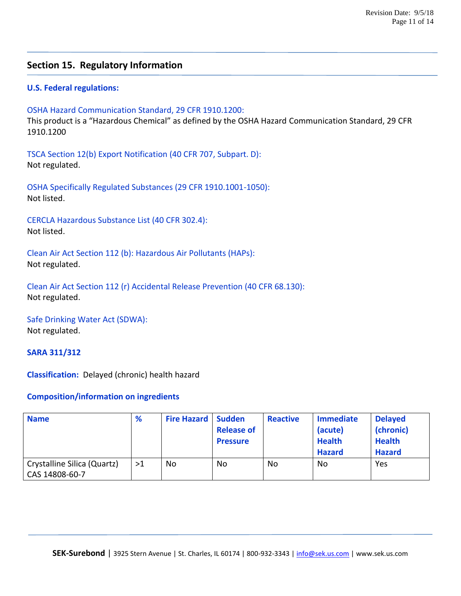# **Section 15. Regulatory Information**

# **U.S. Federal regulations:**

OSHA Hazard Communication Standard, 29 CFR 1910.1200:

This product is a "Hazardous Chemical" as defined by the OSHA Hazard Communication Standard, 29 CFR 1910.1200

TSCA Section 12(b) Export Notification (40 CFR 707, Subpart. D): Not regulated.

OSHA Specifically Regulated Substances (29 CFR 1910.1001-1050): Not listed.

CERCLA Hazardous Substance List (40 CFR 302.4): Not listed.

Clean Air Act Section 112 (b): Hazardous Air Pollutants (HAPs): Not regulated.

Clean Air Act Section 112 (r) Accidental Release Prevention (40 CFR 68.130): Not regulated.

Safe Drinking Water Act (SDWA): Not regulated.

#### **SARA 311/312**

**Classification:** Delayed (chronic) health hazard

#### **Composition/information on ingredients**

| <b>Name</b>                                   | %  | <b>Fire Hazard   Sudden</b> | <b>Release of</b><br><b>Pressure</b> | <b>Reactive</b> | <b>Immediate</b><br>(acute)<br><b>Health</b><br><b>Hazard</b> | <b>Delayed</b><br>(chronic)<br><b>Health</b><br><b>Hazard</b> |
|-----------------------------------------------|----|-----------------------------|--------------------------------------|-----------------|---------------------------------------------------------------|---------------------------------------------------------------|
| Crystalline Silica (Quartz)<br>CAS 14808-60-7 | >1 | No                          | No                                   | No              | No                                                            | Yes                                                           |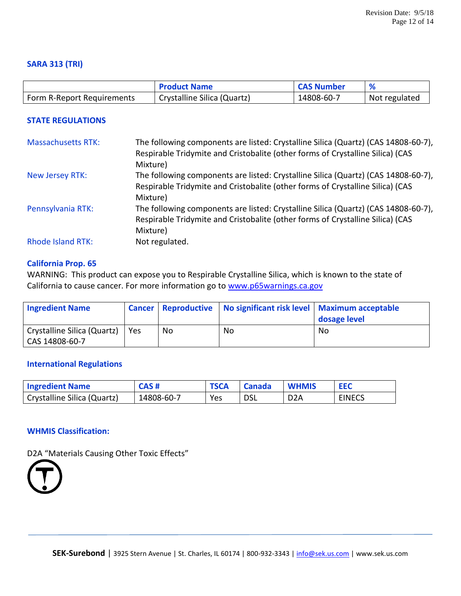## **SARA 313 (TRI)**

|                            | <b>Product Name</b>         | <b>CAS Number</b> |               |
|----------------------------|-----------------------------|-------------------|---------------|
| Form R-Report Requirements | Crystalline Silica (Quartz) | 14808-60-7        | Not regulated |

# **STATE REGULATIONS**

| <b>Massachusetts RTK:</b> | The following components are listed: Crystalline Silica (Quartz) (CAS 14808-60-7),<br>Respirable Tridymite and Cristobalite (other forms of Crystalline Silica) (CAS<br>Mixture) |
|---------------------------|----------------------------------------------------------------------------------------------------------------------------------------------------------------------------------|
| New Jersey RTK:           | The following components are listed: Crystalline Silica (Quartz) (CAS 14808-60-7),<br>Respirable Tridymite and Cristobalite (other forms of Crystalline Silica) (CAS             |
|                           | Mixture)                                                                                                                                                                         |
| Pennsylvania RTK:         | The following components are listed: Crystalline Silica (Quartz) (CAS 14808-60-7),<br>Respirable Tridymite and Cristobalite (other forms of Crystalline Silica) (CAS<br>Mixture) |
| <b>Rhode Island RTK:</b>  | Not regulated.                                                                                                                                                                   |

#### **California Prop. 65**

WARNING: This product can expose you to Respirable Crystalline Silica, which is known to the state of California to cause cancer. For more information go to [www.p65warnings.ca.gov](http://www.p65warnings.ca.gov/)

| <b>Ingredient Name</b>                        |     |     | Cancer   Reproductive   No significant risk level   Maximum acceptable | dosage level |
|-----------------------------------------------|-----|-----|------------------------------------------------------------------------|--------------|
| Crystalline Silica (Quartz)<br>CAS 14808-60-7 | Yes | No. | No                                                                     | No           |

#### **International Regulations**

| <b>Ingredient Name</b>      | <b>CAS#</b> | <b>TSCA</b> | <b>Canada</b> | <b>WHMIS</b>     | <b>EEC</b>    |
|-----------------------------|-------------|-------------|---------------|------------------|---------------|
| Crystalline Silica (Quartz) | 14808-60-7  | Yes         | <b>DSL</b>    | D <sub>2</sub> A | <b>EINECS</b> |

# **WHMIS Classification:**

D2A "Materials Causing Other Toxic Effects"

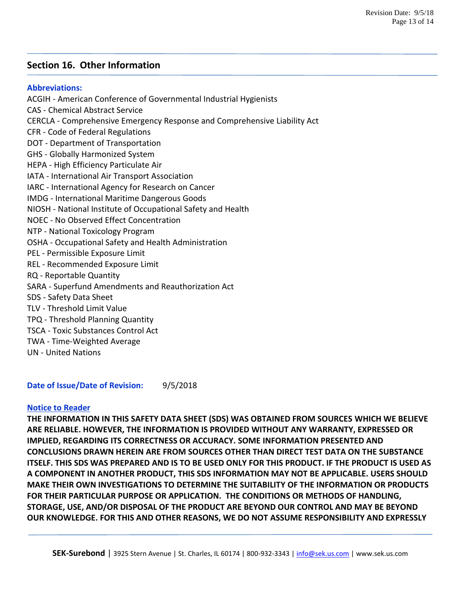# **Section 16. Other Information**

## **Abbreviations:**

ACGIH - American Conference of Governmental Industrial Hygienists CAS - Chemical Abstract Service CERCLA - Comprehensive Emergency Response and Comprehensive Liability Act CFR - Code of Federal Regulations DOT - Department of Transportation GHS - Globally Harmonized System HEPA - High Efficiency Particulate Air IATA - International Air Transport Association IARC - International Agency for Research on Cancer IMDG - International Maritime Dangerous Goods NIOSH - National Institute of Occupational Safety and Health NOEC - No Observed Effect Concentration NTP - National Toxicology Program OSHA - Occupational Safety and Health Administration PEL - Permissible Exposure Limit REL - Recommended Exposure Limit RQ - Reportable Quantity SARA - Superfund Amendments and Reauthorization Act SDS - Safety Data Sheet TLV - Threshold Limit Value TPQ - Threshold Planning Quantity TSCA - Toxic Substances Control Act TWA - Time-Weighted Average UN - United Nations

**Date of Issue/Date of Revision:** 9/5/2018

# **Notice to Reader**

**THE INFORMATION IN THIS SAFETY DATA SHEET (SDS) WAS OBTAINED FROM SOURCES WHICH WE BELIEVE ARE RELIABLE. HOWEVER, THE INFORMATION IS PROVIDED WITHOUT ANY WARRANTY, EXPRESSED OR IMPLIED, REGARDING ITS CORRECTNESS OR ACCURACY. SOME INFORMATION PRESENTED AND CONCLUSIONS DRAWN HEREIN ARE FROM SOURCES OTHER THAN DIRECT TEST DATA ON THE SUBSTANCE ITSELF. THIS SDS WAS PREPARED AND IS TO BE USED ONLY FOR THIS PRODUCT. IF THE PRODUCT IS USED AS A COMPONENT IN ANOTHER PRODUCT, THIS SDS INFORMATION MAY NOT BE APPLICABLE. USERS SHOULD MAKE THEIR OWN INVESTIGATIONS TO DETERMINE THE SUITABILITY OF THE INFORMATION OR PRODUCTS FOR THEIR PARTICULAR PURPOSE OR APPLICATION. THE CONDITIONS OR METHODS OF HANDLING, STORAGE, USE, AND/OR DISPOSAL OF THE PRODUCT ARE BEYOND OUR CONTROL AND MAY BE BEYOND OUR KNOWLEDGE. FOR THIS AND OTHER REASONS, WE DO NOT ASSUME RESPONSIBILITY AND EXPRESSLY**